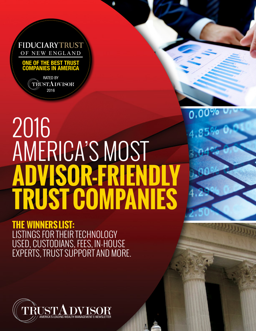

OF NEW ENGLAND

ONE OF THE BEST TRUST COMPANIES IN AMERICA

> RATED BY TRUSTADVISOR 2016

# 2016 AMERICA'S MOST **ADVISOR-FRIENDLY TRUST COMPANIES**

0,00%

 $4,85\%$ 

2016 AMERICA'S MOST ADVISOR-FRIENDLY TRUST COMPANIES

**THE WINNERS LIST:**  LISTINGS FOR THEIR TECHNOLOGY USED, CUSTODIANS, FEES, IN-HOUSE EXPERTS, TRUST SUPPORT AND MORE.

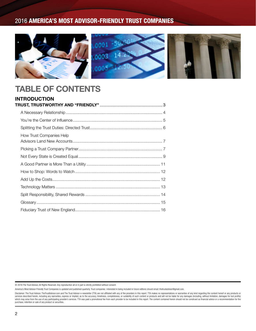

## TABLE OF CONTENTS

| <b>INTRODUCTION</b>      |  |
|--------------------------|--|
|                          |  |
|                          |  |
|                          |  |
|                          |  |
| How Trust Companies Help |  |
|                          |  |
|                          |  |
|                          |  |
|                          |  |
|                          |  |
|                          |  |
|                          |  |
|                          |  |
|                          |  |

<sup>© 2016</sup> The Trust Advisor, All Rights Reserved. Any reproduction all or in part is strictly prohibited without consent.

America's Most Advisor-Friendly Trust Companies is updated and published quarterly. Trust companies interested in being included in future editions should email: thetrustadvisor@gmail.com.

Disclaimer: The Trust Advisor, TheTrustAdvisor.com and The Trust Advisor e-newsletter (TTA) are not affiliated with any of the providers in this report. TTA makes no representations or warranties of any kind regarding the services described herein, including any warranties, express or implied, as to the accuracy, timeliness, completeness, or suitability of such content or products and will not be liable for any damages (including, without l purchase, retention or sale of any product or securities.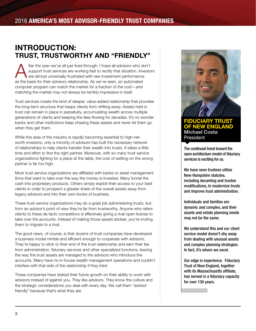## INTRODUCTION: TRUST, TRUSTWORTHY AND "FRIENDLY"

fter the year we've all just lived through, I hope all advisors who don't<br>support trust services are working fast to rectify that situation. Investor<br>are almost universally frustrated with raw investment performance support trust services are working fast to rectify that situation. Investors are almost universally frustrated with raw investment performance as the basis for their advisory relationship. As we've seen, an automated computer program can match the market for a fraction of the cost—and matching the market may not always be terribly impressive in itself.

Trust services create the kind of deeper, value-added relationship that provides the long-term structure that keeps clients from drifting away. Assets held in trust can remain in place in perpetuity, accumulating wealth across multiple generations of clients and keeping the fees flowing for decades. It's no wonder banks and other institutions keep chasing these assets and never let them go when they get them.

While this area of the industry is rapidly becoming essential to high-networth investors, only a minority of advisors has built the necessary network of relationships to help clients transfer their wealth into trusts. It takes a little time and effort to find the right partner. Moreover, with so many trust service organizations fighting for a place at the table, the cost of settling on the wrong partner is far too high.

Most trust service organizations are affiliated with banks or asset management firms that want to take over the way the money is invested. Many funnel the cash into proprietary products. Others simply exploit their access to your best clients in order to prospect a greater share of the overall assets away from legacy advisors and into their own books of business.

These trust service organizations may do a great job administering trusts, but from an advisor's point of view they're far from trustworthy. Anyone who refers clients to these de facto competitors is effectively giving a rival open license to take over the accounts. Instead of making those assets stickier, you're inviting them to migrate to a rival.

The good news, of course, is that dozens of trust companies have developed a business model nimble and efficient enough to cooperate with advisors. They're happy to stick to their end of the trust relationship and earn their fee from administration, fiduciary services and other specialized functions, leaving the way the trust assets are managed to the advisors who introduce the accounts. Many have no in-house wealth management operations and couldn't interfere with that side of the relationship if they tried.

These companies have staked their future growth on their ability to work with advisors instead of against you. They like advisors. They know the culture and the strategic considerations you deal with every day. We call them "advisor friendly" because that's what they are.



## FIDUCIARY TRUST OF NEW ENGLAND Michael Costa **President**

The continued trend toward the open architecture model of fiduciary services is exciting for us.

We have seen trustees utilize New Hampshire statutes, including decanting and trustee modifications, to modernize trusts and improve trust administration.

Individuals and families are dynamic and complex, and their assets and estate planning needs may not be the same.

We understand this and our client service model doesn't shy away from dealing with unusual assets and complex planning strategies. In fact, it's where we excel.

Our edge is experience. Fiduciary Trust of New England, together with its Massachusetts affiliate, has served in a fiduciary capacity for over 130 years.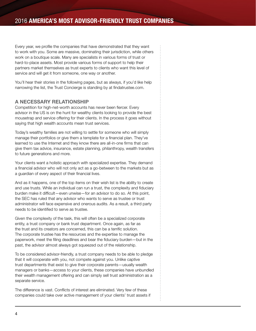Every year, we profile the companies that have demonstrated that they want to work with you. Some are massive, dominating their jurisdiction, while others work on a boutique scale. Many are specialists in various forms of trust or hard-to-place assets. Most provide various forms of support to help their partners market themselves as trust experts to clients who want this level of service and will get it from someone, one way or another.

You'll hear their stories in the following pages, but as always, if you'd like help narrowing the list, the Trust Concierge is standing by at findatrustee.com.

## A NECESSARY RELATIONSHIP

Competition for high-net-worth accounts has never been fiercer. Every advisor in the US is on the hunt for wealthy clients looking to provide the best mousetrap and service offering for their clients. In the process it goes without saying that high wealth accounts mean trust services.

Today's wealthy families are not willing to settle for someone who will simply manage their portfolios or give them a template for a financial plan. They've learned to use the Internet and they know there are all-in-one firms that can give them tax advice, insurance, estate planning, philanthropy, wealth transfers to future generations and more.

Your clients want a holistic approach with specialized expertise. They demand a financial advisor who will not only act as a go-between to the markets but as a guardian of every aspect of their financial lives.

And as it happens, one of the top items on their wish list is the ability to create and use trusts. While an individual can run a trust, the complexity and fiduciary burden make it difficult—even unwise—for an advisor to do so. At this point, the SEC has ruled that any advisor who wants to serve as trustee or trust administrator will face expensive and onerous audits. As a result, a third party needs to be identified to serve as trustee.

Given the complexity of the task, this will often be a specialized corporate entity, a trust company or bank trust department. Once again, as far as the trust and its creators are concerned, this can be a terrific solution. The corporate trustee has the resources and the expertise to manage the paperwork, meet the filing deadlines and bear the fiduciary burden—but in the past, the advisor almost always got squeezed out of the relationship.

To be considered advisor-friendly, a trust company needs to be able to pledge that it will cooperate with you, not compete against you. Unlike captive trust departments that exist to give their corporate parents—usually wealth managers or banks—access to your clients, these companies have unbundled their wealth management offering and can simply sell trust administration as a separate service.

The difference is vast. Conflicts of interest are eliminated. Very few of these companies could take over active management of your clients' trust assets if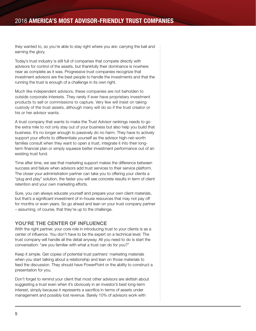they wanted to, so you're able to stay right where you are: carrying the ball and earning the glory.

Today's trust industry is still full of companies that compete directly with advisors for control of the assets, but thankfully their dominance is nowhere near as complete as it was. Progressive trust companies recognize that investment advisors are the best people to handle the investments and that the running the trust is enough of a challenge in its own right.

Much like independent advisors, these companies are not beholden to outside corporate interests. They rarely if ever have proprietary investment products to sell or commissions to capture. Very few will insist on taking custody of the trust assets, although many will do so if the trust creator or his or her advisor wants.

A trust company that wants to make the Trust Advisor rankings needs to go the extra mile to not only stay out of your business but also help you build that business. It's no longer enough to passively do no harm. They have to actively support your efforts to differentiate yourself as the advisor high-net-worth families consult when they want to open a trust, integrate it into their longterm financial plan or simply squeeze better investment performance out of an existing trust fund.

Time after time, we see that marketing support makes the difference between success and failure when advisors add trust services to their service platform. The closer your administration partner can take you to offering your clients a "plug and play" solution, the faster you will see concrete results in term of client retention and your own marketing efforts.

Sure, you can always educate yourself and prepare your own client materials, but that's a significant investment of in-house resources that may not pay off for months or even years. So go ahead and lean on your trust company partner – assuming, of course, that they're up to the challenge.

## YOU'RE THE CENTER OF INFLUENCE

With the right partner, your core role in introducing trust to your clients is as a center of influence. You don't have to be the expert on a technical level. The trust company will handle all the detail anyway. All you need to do is start the conversation: "are you familiar with what a trust can do for you?"

Keep it simple. Get copies of potential trust partners' marketing materials when you start talking about a relationship and lean on those materials to feed the discussion. They should have PowerPoint or the ability to construct a presentation for you.

Don't forget to remind your client that most other advisors are skittish about suggesting a trust even when it's obviously in an investor's best long-term interest, simply because it represents a sacrifice in terms of assets under management and possibly lost revenue. Barely 10% of advisors work with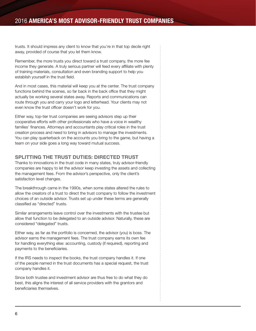trusts. It should impress any client to know that you're in that top decile right away, provided of course that you let them know.

Remember, the more trusts you direct toward a trust company, the more fee income they generate. A truly serious partner will feed every affiliate with plenty of training materials, consultation and even branding support to help you establish yourself in the trust field.

And in most cases, this material will keep you at the center. The trust company functions behind the scenes, so far back in the back office that they might actually be working several states away. Reports and communications can route through you and carry your logo and letterhead. Your clients may not even know the trust officer doesn't work for you.

Either way, top-tier trust companies are seeing advisors step up their cooperative efforts with other professionals who have a voice in wealthy families' finances. Attorneys and accountants play critical roles in the trust creation process and need to bring in advisors to manage the investments. You can play quarterback on the accounts you bring to the game, but having a team on your side goes a long way toward mutual success.

## SPLITTING THE TRUST DUTIES: DIRECTED TRUST

Thanks to innovations in the trust code in many states, truly advisor-friendly companies are happy to let the advisor keep investing the assets and collecting the management fees. From the advisor's perspective, only the client's satisfaction level changes.

The breakthrough came in the 1990s, when some states altered the rules to allow the creators of a trust to direct the trust company to follow the investment choices of an outside advisor. Trusts set up under these terms are generally classified as "directed" trusts.

Similar arrangements leave control over the investments with the trustee but allow that function to be delegated to an outside advisor. Naturally, these are considered "delegated" trusts.

Either way, as far as the portfolio is concerned, the advisor (you) is boss. The advisor earns the management fees. The trust company earns its own fee for handling everything else: accounting, custody (if required), reporting and payments to the beneficiaries.

If the IRS needs to inspect the books, the trust company handles it. If one of the people named in the trust documents has a special request, the trust company handles it.

Since both trustee and investment advisor are thus free to do what they do best, this aligns the interest of all service providers with the grantors and beneficiaries themselves.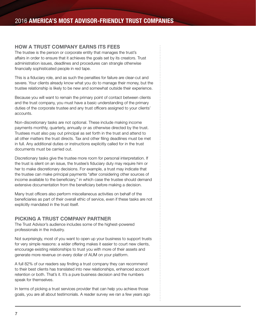#### HOW A TRUST COMPANY EARNS ITS FEES

The trustee is the person or corporate entity that manages the trust's affairs in order to ensure that it achieves the goals set by its creators. Trust administration issues, deadlines and procedures can strangle otherwise financially sophisticated people in red tape.

This is a fiduciary role, and as such the penalties for failure are clear-cut and severe. Your clients already know what you do to manage their money, but the trustee relationship is likely to be new and somewhat outside their experience.

Because you will want to remain the primary point of contact between clients and the trust company, you must have a basic understanding of the primary duties of the corporate trustee and any trust officers assigned to your clients' accounts.

Non-discretionary tasks are not optional. These include making income payments monthly, quarterly, annually or as otherwise directed by the trust. Trustees must also pay out principal as set forth in the trust and attend to all other matters the trust directs. Tax and other filing deadlines must be met in full. Any additional duties or instructions explicitly called for in the trust documents must be carried out.

Discretionary tasks give the trustee more room for personal interpretation. If the trust is silent on an issue, the trustee's fiduciary duty may require him or her to make discretionary decisions. For example, a trust may indicate that the trustee can make principal payments "after considering other sources of income available to the beneficiary," in which case the trustee should demand extensive documentation from the beneficiary before making a decision.

Many trust officers also perform miscellaneous activities on behalf of the beneficiaries as part of their overall ethic of service, even if these tasks are not explicitly mandated in the trust itself.

## PICKING A TRUST COMPANY PARTNER

The Trust Advisor's audience includes some of the highest-powered professionals in the industry.

Not surprisingly, most of you want to open up your business to support trusts for very simple reasons: a wider offering makes it easier to court new clients, encourage existing relationships to trust you with more of their assets and generate more revenue on every dollar of AUM on your platform.

A full 82% of our readers say finding a trust company they can recommend to their best clients has translated into new relationships, enhanced account retention or both. That's it. It's a pure business decision and the numbers speak for themselves.

In terms of picking a trust services provider that can help you achieve those goals, you are all about testimonials. A reader survey we ran a few years ago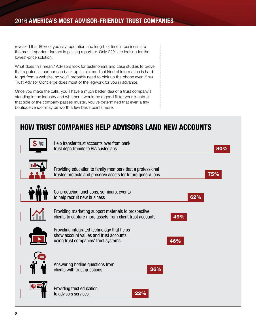revealed that 80% of you say reputation and length of time in business are the most important factors in picking a partner. Only 22% are looking for the lowest-price solution.

What does this mean? Advisors look for testimonials and case studies to prove that a potential partner can back up its claims. That kind of information is hard to get from a website, so you'll probably need to pick up the phone even if our Trust Advisor Concierge does most of the legwork for you in advance.

Once you make the calls, you'll have a much better idea of a trust company's standing in the industry and whether it would be a good fit for your clients. If that side of the company passes muster, you've determined that even a tiny boutique vendor may be worth a few basis points more.

## HOW TRUST COMPANIES HELP ADVISORS LAND NEW ACCOUNTS



Help transfer trust accounts over from bank trust departments to RIA custodians 80% and 30% and 30% and 30% and 30% and 30% and 30% and 30% and 30% and 30% Providing education to family members that a professional trustee protects and preserve assets for future generations **75%** Co-producing luncheons, seminars, events to help recruit new business 62% Providing marketing support materials to prospective clients to capture more assets from client trust accounts 49% Providing integrated technology that helps show account values and trust accounts using trust companies' trust systems and the state of the 46% Answering hotline questions from clients with trust questions 36% Providing trust education to advisors services 22%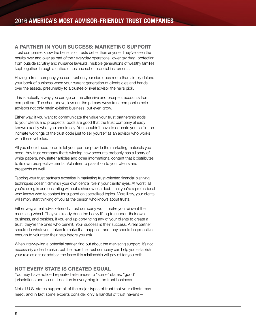## A PARTNER IN YOUR SUCCESS: MARKETING SUPPORT

Trust companies know the benefits of trusts better than anyone. They've seen the results over and over as part of their everyday operations: lower tax drag, protection from outside scrutiny and nuisance lawsuits, multiple generations of wealthy families kept together through a unified ethos and set of financial instruments.

Having a trust company you can trust on your side does more than simply defend your book of business when your current generation of clients dies and hands over the assets, presumably to a trustee or rival advisor the heirs pick.

This is actually a way you can go on the offensive and prospect accounts from competitors. The chart above, lays out the primary ways trust companies help advisors not only retain existing business, but even grow.

Either way, if you want to communicate the value your trust partnership adds to your clients and prospects, odds are good that the trust company already knows exactly what you should say. You shouldn't have to educate yourself in the intimate workings of the trust code just to sell yourself as an advisor who works with these vehicles.

All you should need to do is let your partner provide the marketing materials you need. Any trust company that's winning new accounts probably has a library of white papers, newsletter articles and other informational content that it distributes to its own prospective clients. Volunteer to pass it on to your clients and prospects as well.

Tapping your trust partner's expertise in marketing trust-oriented financial planning techniques doesn't diminish your own central role in your clients' eyes. At worst, all you're doing is demonstrating without a shadow of a doubt that you're a professional who knows who to contact for support on specialized topics. More likely, your clients will simply start thinking of you as the person who knows about trusts.

Either way, a real advisor-friendly trust company won't make you reinvent the marketing wheel. They've already done the heavy lifting to support their own business, and besides, if you end up convincing any of your clients to create a trust, they're the ones who benefit. Your success is their success. A real partner should do whatever it takes to make that happen – and they should be proactive enough to volunteer their help before you ask.

When interviewing a potential partner, find out about the marketing support. It's not necessarily a deal breaker, but the more the trust company can help you establish your role as a trust advisor, the faster this relationship will pay off for you both.

## NOT EVERY STATE IS CREATED EQUAL

You may have noticed repeated references to "some" states, "good" jurisdictions and so on. Location is everything in the trust business.

Not all U.S. states support all of the major types of trust that your clients may need, and in fact some experts consider only a handful of trust havens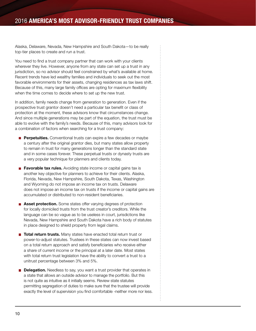Alaska, Delaware, Nevada, New Hampshire and South Dakota—to be really top-tier places to create and run a trust.

You need to find a trust company partner that can work with your clients wherever they live. However, anyone from any state can set up a trust in any jurisdiction, so no advisor should feel constrained by what's available at home. Recent trends have led wealthy families and individuals to seek out the most favorable environments for their assets, changing residences as tax laws shift. Because of this, many large family offices are opting for maximum flexibility when the time comes to decide where to set up the new trust.

In addition, family needs change from generation to generation. Even if the prospective trust grantor doesn't need a particular tax benefit or class of protection at the moment, these advisors know that circumstances change. And since multiple generations may be part of the equation, the trust must be able to evolve with the family's needs. Because of this, many advisors look for a combination of factors when searching for a trust company:

- **Perpetuities.** Conventional trusts can expire a few decades or maybe a century after the original grantor dies, but many states allow property to remain in trust for many generations longer than the standard state and in some cases forever. These perpetual trusts or dynasty trusts are a very popular technique for planners and clients today.
- **Favorable tax rules.** Avoiding state income or capital gains tax is another key objective for planners to achieve for their clients. Alaska, Florida, Nevada, New Hampshire, South Dakota, Texas, Washington and Wyoming do not impose an income tax on trusts. Delaware does not impose an income tax on trusts if the income or capital gains are accumulated or distributed to non-resident beneficiaries.
- **Asset protection.** Some states offer varying degrees of protection for locally domiciled trusts from the trust creator's creditors. While the language can be so vague as to be useless in court, jurisdictions like Nevada, New Hampshire and South Dakota have a rich body of statutes in place designed to shield property from legal claims.
- **Total return trusts.** Many states have enacted total return trust or power-to-adjust statutes. Trustees in these states can now invest based on a total return approach and satisfy beneficiaries who receive either a share of current income or the principal at a later date. Most states with total return trust legislation have the ability to convert a trust to a unitrust percentage between 3% and 5%.
- **Delegation.** Needless to say, you want a trust provider that operates in a state that allows an outside advisor to manage the portfolio. But this is not quite as intuitive as it initially seems. Review state statutes permitting segregation of duties to make sure that the trustee will provide exactly the level of supervision you find comfortable -neither more nor less.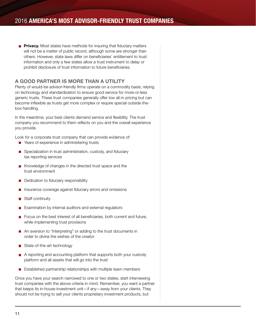**Privacy.** Most states have methods for insuring that fiduciary matters will not be a matter of public record, although some are stronger than others. However, state laws differ on beneficiaries' entitlement to trust information and only a few states allow a trust instrument to delay or prohibit disclosure of trust information to future beneficiaries.

## A GOOD PARTNER IS MORE THAN A UTILITY

Plenty of would-be advisor-friendly firms operate on a commodity basis, relying on technology and standardization to ensure good service for more-or-less generic trusts. These trust companies generally offer low all-in pricing but can become inflexible as trusts get more complex or require special outside-thebox handling.

In the meantime, your best clients demand service and flexibility. The trust company you recommend to them reflects on you and the overall experience you provide.

Look for a corporate trust company that can provide evidence of:

- Years of experience in administering trusts
- Specialization in trust administration, custody, and fiduciary tax reporting services
- Knowledge of changes in the directed trust space and the trust environment
- Dedication to fiduciary responsibility
- Insurance coverage against fiduciary errors and omissions
- Staff continuity
- Examination by internal auditors and external regulators
- Focus on the best interest of all beneficiaries, both current and future, while implementing trust provisions
- An aversion to "interpreting" or adding to the trust documents in order to divine the wishes of the creator
- State-of-the-art technology
- $\mathbb{R}^2$ A reporting and accounting platform that supports both your custody platform and all assets that will go into the trust
- **E** Established partnership relationships with multiple team members

Once you have your search narrowed to one or two states, start interviewing trust companies with the above criteria in mind. Remember, you want a partner that keeps its in-house investment unit—if any—away from your clients. They should not be trying to sell your clients proprietary investment products, but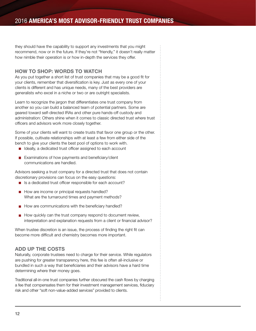they should have the capability to support any investments that you might recommend, now or in the future. If they're not "friendly," it doesn't really matter how nimble their operation is or how in-depth the services they offer.

## HOW TO SHOP: WORDS TO WATCH

As you put together a short list of trust companies that may be a good fit for your clients, remember that diversification is key. Just as every one of your clients is different and has unique needs, many of the best providers are generalists who excel in a niche or two or are outright specialists.

Learn to recognize the jargon that differentiates one trust company from another so you can build a balanced team of potential partners. Some are geared toward self-directed IRAs and other pure hands-off custody and administration: Others shine when it comes to classic directed trust where trust officers and advisors work more closely together.

Some of your clients will want to create trusts that favor one group or the other. If possible, cultivate relationships with at least a few from either side of the bench to give your clients the best pool of options to work with.

- Ideally, a dedicated trust officer assigned to each account
- П Examinations of how payments and beneficiary/client communications are handled.

Advisors seeking a trust company for a directed trust that does not contain discretionary provisions can focus on the easy questions:

- Is a dedicated trust officer responsible for each account?
- How are income or principal requests handled? What are the turnaround times and payment methods?
- $\blacksquare$  How are communications with the beneficiary handled?
- $\blacksquare$  How quickly can the trust company respond to document review, interpretation and explanation requests from a client or financial advisor?

When trustee discretion is an issue, the process of finding the right fit can become more difficult and chemistry becomes more important.

## ADD UP THE COSTS

Naturally, corporate trustees need to charge for their service. While regulators are pushing for greater transparency here, this fee is often all-inclusive or bundled in such a way that beneficiaries and their advisors have a hard time determining where their money goes.

Traditional all-in-one trust companies further obscured the cash flows by charging a fee that compensates them for their investment management services, fiduciary risk and other "soft non-value-added services" provided to clients.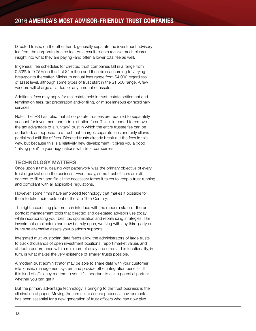Directed trusts, on the other hand, generally separate the investment advisory fee from the corporate trustee fee. As a result, clients receive much clearer insight into what they are paying -and often a lower total fee as well.

In general, fee schedules for directed trust companies fall in a range from 0.50% to 0.75% on the first \$1 million and then drop according to varying breakpoints thereafter. Minimum annual fees range from \$4,000 regardless of asset level, although some types of trust start in the \$1,500 range. A few vendors will charge a flat fee for any amount of assets.

Additional fees may apply for real estate held in trust, estate settlement and termination fees, tax preparation and/or filing, or miscellaneous extraordinary services.

Note: The IRS has ruled that all corporate trustees are required to separately account for investment and administration fees. This is intended to remove the tax advantage of a "unitary" trust in which the entire trustee fee can be deducted, as opposed to a trust that charges separate fees and only allows partial deductibility of fees. Directed trusts already break out the fees in this way, but because this is a relatively new development, it gives you a good "talking point" in your negotiations with trust companies.

## TECHNOLOGY MATTERS

Once upon a time, dealing with paperwork was the primary objective of every trust organization in the business. Even today, some trust officers are still content to fill out and file all the necessary forms it takes to keep a trust running and compliant with all applicable regulations.

However, some firms have embraced technology that makes it possible for them to take their trusts out of the late 19th Century.

The right accounting platform can interface with the modern state-of-the-art portfolio management tools that directed and delegated advisors use today while incorporating your best tax optimization and rebalancing strategies. The investment architecture can now be truly open, working with any third-party or in-house alternative assets your platform supports.

Integrated multi-custodian data feeds allow the administrators of large trusts to track thousands of open investment positions, report market values and attribute performance with a minimum of delay and errors. This functionality, in turn, is what makes the very existence of smaller trusts possible.

A modern trust administrator may be able to share data with your customer relationship management system and provide other integration benefits. If this kind of efficiency matters to you, it's important to ask a potential partner whether you can get it.

But the primary advantage technology is bringing to the trust business is the elimination of paper. Moving the forms into secure paperless environments has been essential for a new generation of trust officers who can now give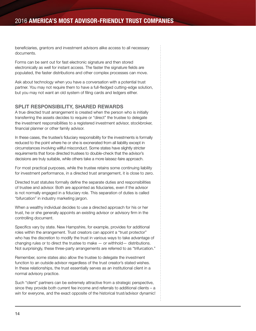beneficiaries, grantors and investment advisors alike access to all necessary documents.

Forms can be sent out for fast electronic signature and then stored electronically as well for instant access. The faster the signature fields are populated, the faster distributions and other complex processes can move.

Ask about technology when you have a conversation with a potential trust partner. You may not require them to have a full-fledged cutting-edge solution, but you may not want an old system of filing cards and ledgers either.

## SPLIT RESPONSIBILITY, SHARED REWARDS

A true directed trust arrangement is created when the person who is initially transferring the assets decides to require or "direct" the trustee to delegate the investment responsibilities to a registered investment advisor, stockbroker, financial planner or other family advisor.

In these cases, the trustee's fiduciary responsibility for the investments is formally reduced to the point where he or she is exonerated from all liability except in circumstances involving willful misconduct. Some states have slightly stricter requirements that force directed trustees to double-check that the advisor's decisions are truly suitable, while others take a more laissez-faire approach.

For most practical purposes, while the trustee retains some continuing liability for investment performance, in a directed trust arrangement, it is close to zero.

Directed trust statutes formally define the separate duties and responsibilities of trustee and advisor. Both are appointed as fiduciaries, even if the advisor is not normally engaged in a fiduciary role. This separation of duties is called "bifurcation" in industry marketing jargon.

When a wealthy individual decides to use a directed approach for his or her trust, he or she generally appoints an existing advisor or advisory firm in the controlling document.

Specifics vary by state. New Hampshire, for example, provides for additional roles within the arrangement. Trust creators can appoint a "trust protector" who has the discretion to modify the trust in various ways to take advantage of changing rules or to direct the trustee to make — or withhold— distributions. Not surprisingly, these three-party arrangements are referred to as "trifurcation."

Remember, some states also allow the trustee to delegate the investment function to an outside advisor regardless of the trust creator's stated wishes. In these relationships, the trust essentially serves as an institutional client in a normal advisory practice.

Such "client" partners can be extremely attractive from a strategic perspective, since they provide both current fee income and referrals to additional clients – a win for everyone, and the exact opposite of the historical trust/advisor dynamic!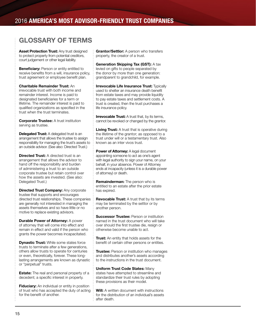## GLOSSARY OF TERMS

**Asset Protection Trust: Any trust designed** to protect property from potential creditors, court judgement or other legal liability.

**Beneficiary:** Person or entity entitled to receive benefits from a will, insurance policy, trust agreement or employee benefit plan.

Charitable Remainder Trust: An irrevocable trust with both income and remainder interest. Income is paid to designated beneficiaries for a term or lifetime. The remainder interest is paid to qualified organizations as specified in the trust when the trust terminates.

**Corporate Trustee:** A trust institution serving as trustee.

**Delegated Trust:** A delegated trust is an arrangement that allows the trustee to assign responsibility for managing the trust's assets to an outside advisor. (See also: Directed Trust.)

**Directed Trust:** A directed trust is an arrangement that allows the advisor to hand off the responsibility and burden of administering a trust to an outside corporate trustee but retain control over how the assets are invested. (See also: Delegated Trust.)

**Directed Trust Company: Any corporate** trustee that supports and encourages directed trust relationships. These companies are generally not interested in managing the assets themselves and so have little or no motive to replace existing advisors.

**Durable Power of Attorney: A power** of attorney that will come into effect and remain in effect and valid if the person who grants the power becomes incapacitated.

**Dynastic Trust:** While some states force trusts to terminate after a few generations, others allow trusts to operate for centuries or even, theoretically, forever. These longlasting arrangements are known as dynastic or "perpetual" trusts.

**Estate:** The real and personal property of a decedent; a specific interest in property.

**Fiduciary:** An individual or entity in position of trust who has accepted the duty of acting for the benefit of another.

Grantor/Settlor: A person who transfers property, the creator of a trust.

Generation Skipping Tax (GST): A tax levied on gifts to people separated by the donor by more than one generation: grandparent to grandchild, for example.

**Irrevocable Life Insurance Trust: Typically** used to shelter an insurance death benefit from estate taxes and may provide liquidity to pay estate taxes and settlement costs. A trust is created, then the trust purchases a life insurance policy.

**Irrevocable Trust:** A trust that, by its terms, cannot be revoked or changed by the grantor.

**Living Trust:** A trust that is operative during the lifetime of the grantor; as opposed to a trust under will or a testamentary trust. Also known as an inter vivos trust.

Power of Attorney: A legal document appointing someone to act as one's agent with legal authority to sign your name, on your behalf, in your absence. Power of Attorney ends at incapacity (unless it is a durable power of attorney) or death.

**Remainderman:** The person who is entitled to an estate after the prior estate has expired.

**Revocable Trust:** A trust that by its terms may be terminated by the settlor or by another person.

**Successor Trustee: Person or institution** named in the trust document who will take over should the first trustee die, resign or otherwise become unable to act.

**Trust:** An entity that holds assets for the benefit of certain other persons or entities.

**Trustee:** Person or institution who manages and distributes another's assets according to the instructions in the trust document.

Uniform Trust Code States: Many states have attempted to streamline and standardize their trust rules by adopting these provisions as their model.

**Will:** A written document with instructions for the distribution of an individual's assets after death.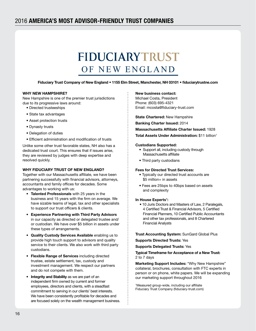# FIDUCIARYTRUST OF NEW ENGLAND

Fiduciary Trust Company of New England • 1155 Elm Street, Manchester, NH 03101 • fiduciarytrustne.com

#### WHY NEW HAMPSHIRE?

New Hampshire is one of the premier trust jurisdictions due to its progressive laws around:

- Directed trusteeships
- State tax advantages
- Asset protection trusts
- Dynasty trusts
- Delegation of duties
- Efficient administration and modification of trusts

Unlike some other trust favorable states, NH also has a dedicated trust court. This ensures that if issues arise, they are reviewed by judges with deep expertise and resolved quickly.

#### WHY FIDUCIARY TRUST OF NEW ENGLAND?

Together with our Massachusetts affiliate, we have been partnering successfully with financial advisors, attorneys, accountants and family offices for decades. Some advantages to working with us:

- Talented Professionals with 25 years in the business and 15 years with the firm on average. We have sizable teams of legal, tax and other specialists to support our trust officers & clients.
- Experience Partnering with Third Party Advisors in our capacity as directed or delegated trustee and/ or custodian. We have over \$5 billion in assets under these types of arrangements.
- Quality Custody Services Available enabling us to provide high touch support to advisors and quality service to their clients. We also work with third party custodians.
- Flexible Range of Services including directed trustee, estate settlement, tax, custody and investment management. We respect our partners and do not compete with them.
- Integrity and Stability as we are part of an independent firm owned by current and former employees, directors and clients, with a steadfast commitment to serving in our clients' best interests. We have been consistently profitable for decades and are focused solely on the wealth management business.

#### New business contact:

Michael Costa, President Phone: (603) 695-4321 Email: mcosta@fiduciary-trust.com

**State Chartered: New Hampshire** 

Banking Charter Issued: 2014

Massachusetts Affiliate Charter Issued: 1928

Total Assets Under Administration: \$11 billion<sup>1</sup>

#### Custodians Supported:

- Support all, including custody through Massachusetts affiliate
- Third party custodians

#### Fees for Directed Trust Services:

- Typically our directed trust accounts are \$5 million+ in assets
- Fees are 25bps to 40bps based on assets and complexity

#### In House Experts<sup>1</sup>:

• 10 Juris Doctors and Masters of Law, 2 Paralegals, 4 Certified Trust & Financial Advisors, 5 Certified Financial Planners, 10 Certified Public Accountants and other tax professionals, and 8 Chartered Financial Analysts

**Trust Accounting System: SunGard Global Plus** 

Supports Directed Trusts: Yes

Supports Delegated Trusts: Yes

Typical Timeframe for Acceptance of a New Trust: 2 to 7 days

Marketing Support Includes: "Why New Hampshire" collateral, brochures, consultation with FTC experts in person or on phone, white papers. We will be expanding our marketing support throughout 2016

1 Measured group-wide, including our affiliate Fiduciary Trust Company (fiduciary-trust.com)